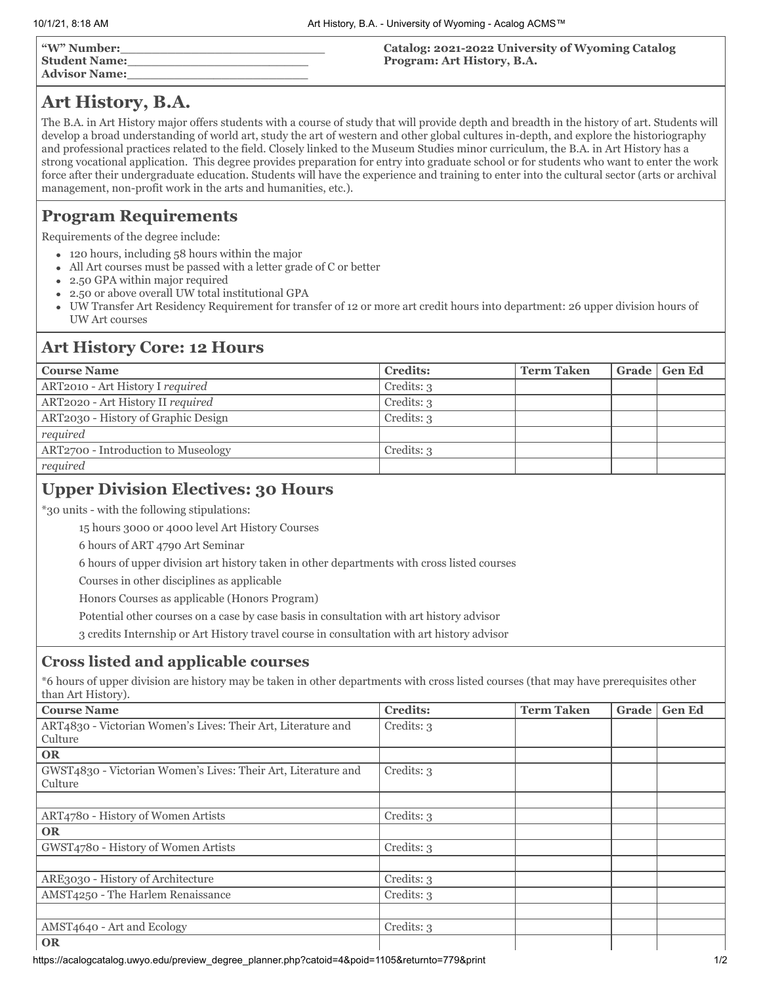| w" Number: "  |  |
|---------------|--|
| Student Name: |  |
| Advisor Name: |  |

#### **Catalog: 2021-2022 University of Wyoming Catalog Program: Art History, B.A.**

# **Art History, B.A.**

The B.A. in Art History major offers students with a course of study that will provide depth and breadth in the history of art. Students will develop a broad understanding of world art, study the art of western and other global cultures in-depth, and explore the historiography and professional practices related to the field. Closely linked to the Museum Studies minor curriculum, the B.A. in Art History has a strong vocational application. This degree provides preparation for entry into graduate school or for students who want to enter the work force after their undergraduate education. Students will have the experience and training to enter into the cultural sector (arts or archival management, non-profit work in the arts and humanities, etc.).

# **Program Requirements**

Requirements of the degree include:

- 120 hours, including 58 hours within the major
- All Art courses must be passed with a letter grade of C or better
- 2.50 GPA within major required
- 2.50 or above overall UW total institutional GPA  $\bullet$
- UW Transfer Art Residency Requirement for transfer of 12 or more art credit hours into department: 26 upper division hours of UW Art courses

## **Art History Core: 12 Hours**

| <b>Course Name</b>                  | <b>Credits:</b> | <b>Term Taken</b> | Grade   Gen Ed |
|-------------------------------------|-----------------|-------------------|----------------|
| ART2010 - Art History I required    | Credits: 3      |                   |                |
| ART2020 - Art History II required   | Credits: 3      |                   |                |
| ART2030 - History of Graphic Design | Credits: 3      |                   |                |
| required                            |                 |                   |                |
| ART2700 - Introduction to Museology | Credits: 3      |                   |                |
| required                            |                 |                   |                |

# **Upper Division Electives: 30 Hours**

\*30 units - with the following stipulations:

15 hours 3000 or 4000 level Art History Courses

6 hours of ART 4790 Art Seminar

6 hours of upper division art history taken in other departments with cross listed courses

Courses in other disciplines as applicable

Honors Courses as applicable (Honors Program)

Potential other courses on a case by case basis in consultation with art history advisor

3 credits Internship or Art History travel course in consultation with art history advisor

## **Cross listed and applicable courses**

\*6 hours of upper division are history may be taken in other departments with cross listed courses (that may have prerequisites other than Art History).

| <b>Course Name</b>                                                       | <b>Credits:</b> | <b>Term Taken</b> | Grade | <b>Gen Ed</b> |
|--------------------------------------------------------------------------|-----------------|-------------------|-------|---------------|
| ART4830 - Victorian Women's Lives: Their Art, Literature and             | Credits: 3      |                   |       |               |
| Culture                                                                  |                 |                   |       |               |
| <b>OR</b>                                                                |                 |                   |       |               |
| GWST4830 - Victorian Women's Lives: Their Art, Literature and<br>Culture | Credits: 3      |                   |       |               |
|                                                                          |                 |                   |       |               |
| ART4780 - History of Women Artists                                       | Credits: 3      |                   |       |               |
| <b>OR</b>                                                                |                 |                   |       |               |
| GWST4780 - History of Women Artists                                      | Credits: 3      |                   |       |               |
|                                                                          |                 |                   |       |               |
| ARE3030 - History of Architecture                                        | Credits: 3      |                   |       |               |
| AMST4250 - The Harlem Renaissance                                        | Credits: 3      |                   |       |               |
|                                                                          |                 |                   |       |               |
| AMST4640 - Art and Ecology                                               | Credits: 3      |                   |       |               |
| <b>OR</b>                                                                |                 |                   |       |               |